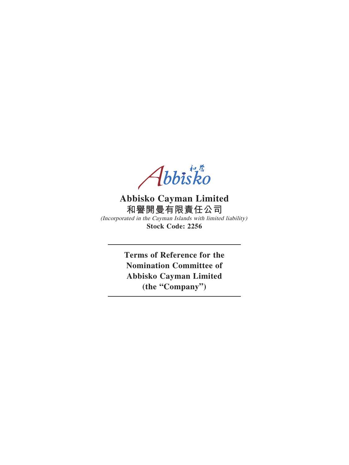Abbisko

# **Abbisko Cayman Limited 和譽開曼有限責任公司** (Incorporated in the Cayman Islands with limited liability) **Stock Code: 2256**

**Terms of Reference for the Nomination Committee of Abbisko Cayman Limited (the "Company")**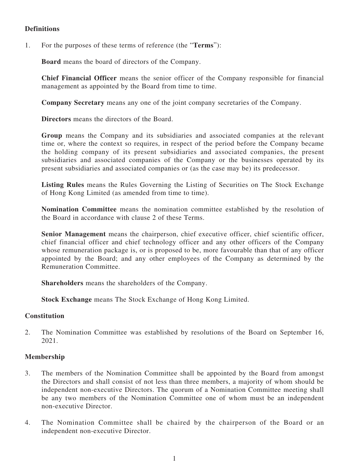### **Definitions**

1. For the purposes of these terms of reference (the "**Terms**"):

**Board** means the board of directors of the Company.

**Chief Financial Officer** means the senior officer of the Company responsible for financial management as appointed by the Board from time to time.

**Company Secretary** means any one of the joint company secretaries of the Company.

**Directors** means the directors of the Board.

**Group** means the Company and its subsidiaries and associated companies at the relevant time or, where the context so requires, in respect of the period before the Company became the holding company of its present subsidiaries and associated companies, the present subsidiaries and associated companies of the Company or the businesses operated by its present subsidiaries and associated companies or (as the case may be) its predecessor.

**Listing Rules** means the Rules Governing the Listing of Securities on The Stock Exchange of Hong Kong Limited (as amended from time to time).

**Nomination Committee** means the nomination committee established by the resolution of the Board in accordance with clause 2 of these Terms.

**Senior Management** means the chairperson, chief executive officer, chief scientific officer, chief financial officer and chief technology officer and any other officers of the Company whose remuneration package is, or is proposed to be, more favourable than that of any officer appointed by the Board; and any other employees of the Company as determined by the Remuneration Committee.

**Shareholders** means the shareholders of the Company.

**Stock Exchange** means The Stock Exchange of Hong Kong Limited.

#### **Constitution**

2. The Nomination Committee was established by resolutions of the Board on September 16, 2021.

### **Membership**

- 3. The members of the Nomination Committee shall be appointed by the Board from amongst the Directors and shall consist of not less than three members, a majority of whom should be independent non-executive Directors. The quorum of a Nomination Committee meeting shall be any two members of the Nomination Committee one of whom must be an independent non-executive Director.
- 4. The Nomination Committee shall be chaired by the chairperson of the Board or an independent non-executive Director.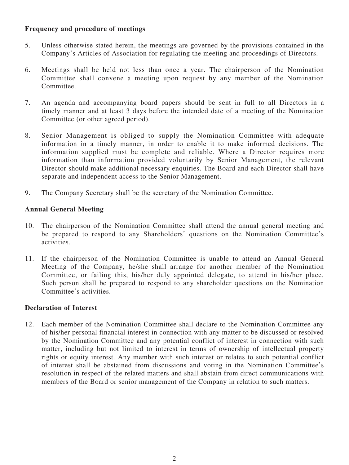### **Frequency and procedure of meetings**

- 5. Unless otherwise stated herein, the meetings are governed by the provisions contained in the Company's Articles of Association for regulating the meeting and proceedings of Directors.
- 6. Meetings shall be held not less than once a year. The chairperson of the Nomination Committee shall convene a meeting upon request by any member of the Nomination Committee.
- 7. An agenda and accompanying board papers should be sent in full to all Directors in a timely manner and at least 3 days before the intended date of a meeting of the Nomination Committee (or other agreed period).
- 8. Senior Management is obliged to supply the Nomination Committee with adequate information in a timely manner, in order to enable it to make informed decisions. The information supplied must be complete and reliable. Where a Director requires more information than information provided voluntarily by Senior Management, the relevant Director should make additional necessary enquiries. The Board and each Director shall have separate and independent access to the Senior Management.
- 9. The Company Secretary shall be the secretary of the Nomination Committee.

# **Annual General Meeting**

- 10. The chairperson of the Nomination Committee shall attend the annual general meeting and be prepared to respond to any Shareholders' questions on the Nomination Committee's activities.
- 11. If the chairperson of the Nomination Committee is unable to attend an Annual General Meeting of the Company, he/she shall arrange for another member of the Nomination Committee, or failing this, his/her duly appointed delegate, to attend in his/her place. Such person shall be prepared to respond to any shareholder questions on the Nomination Committee's activities.

### **Declaration of Interest**

12. Each member of the Nomination Committee shall declare to the Nomination Committee any of his/her personal financial interest in connection with any matter to be discussed or resolved by the Nomination Committee and any potential conflict of interest in connection with such matter, including but not limited to interest in terms of ownership of intellectual property rights or equity interest. Any member with such interest or relates to such potential conflict of interest shall be abstained from discussions and voting in the Nomination Committee's resolution in respect of the related matters and shall abstain from direct communications with members of the Board or senior management of the Company in relation to such matters.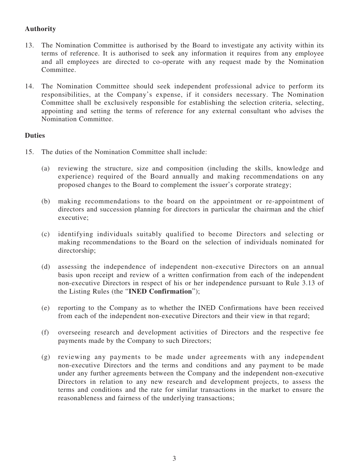## **Authority**

- 13. The Nomination Committee is authorised by the Board to investigate any activity within its terms of reference. It is authorised to seek any information it requires from any employee and all employees are directed to co-operate with any request made by the Nomination Committee.
- 14. The Nomination Committee should seek independent professional advice to perform its responsibilities, at the Company's expense, if it considers necessary. The Nomination Committee shall be exclusively responsible for establishing the selection criteria, selecting, appointing and setting the terms of reference for any external consultant who advises the Nomination Committee.

### **Duties**

- 15. The duties of the Nomination Committee shall include:
	- (a) reviewing the structure, size and composition (including the skills, knowledge and experience) required of the Board annually and making recommendations on any proposed changes to the Board to complement the issuer's corporate strategy;
	- (b) making recommendations to the board on the appointment or re-appointment of directors and succession planning for directors in particular the chairman and the chief executive;
	- (c) identifying individuals suitably qualified to become Directors and selecting or making recommendations to the Board on the selection of individuals nominated for directorship;
	- (d) assessing the independence of independent non-executive Directors on an annual basis upon receipt and review of a written confirmation from each of the independent non-executive Directors in respect of his or her independence pursuant to Rule 3.13 of the Listing Rules (the "**INED Confirmation**");
	- (e) reporting to the Company as to whether the INED Confirmations have been received from each of the independent non-executive Directors and their view in that regard;
	- (f) overseeing research and development activities of Directors and the respective fee payments made by the Company to such Directors;
	- (g) reviewing any payments to be made under agreements with any independent non-executive Directors and the terms and conditions and any payment to be made under any further agreements between the Company and the independent non-executive Directors in relation to any new research and development projects, to assess the terms and conditions and the rate for similar transactions in the market to ensure the reasonableness and fairness of the underlying transactions;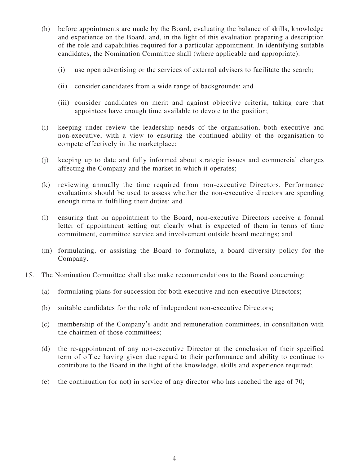- (h) before appointments are made by the Board, evaluating the balance of skills, knowledge and experience on the Board, and, in the light of this evaluation preparing a description of the role and capabilities required for a particular appointment. In identifying suitable candidates, the Nomination Committee shall (where applicable and appropriate):
	- (i) use open advertising or the services of external advisers to facilitate the search;
	- (ii) consider candidates from a wide range of backgrounds; and
	- (iii) consider candidates on merit and against objective criteria, taking care that appointees have enough time available to devote to the position;
- (i) keeping under review the leadership needs of the organisation, both executive and non-executive, with a view to ensuring the continued ability of the organisation to compete effectively in the marketplace;
- (j) keeping up to date and fully informed about strategic issues and commercial changes affecting the Company and the market in which it operates;
- (k) reviewing annually the time required from non-executive Directors. Performance evaluations should be used to assess whether the non-executive directors are spending enough time in fulfilling their duties; and
- (l) ensuring that on appointment to the Board, non-executive Directors receive a formal letter of appointment setting out clearly what is expected of them in terms of time commitment, committee service and involvement outside board meetings; and
- (m) formulating, or assisting the Board to formulate, a board diversity policy for the Company.
- 15. The Nomination Committee shall also make recommendations to the Board concerning:
	- (a) formulating plans for succession for both executive and non-executive Directors;
	- (b) suitable candidates for the role of independent non-executive Directors;
	- (c) membership of the Company's audit and remuneration committees, in consultation with the chairmen of those committees;
	- (d) the re-appointment of any non-executive Director at the conclusion of their specified term of office having given due regard to their performance and ability to continue to contribute to the Board in the light of the knowledge, skills and experience required;
	- (e) the continuation (or not) in service of any director who has reached the age of 70;